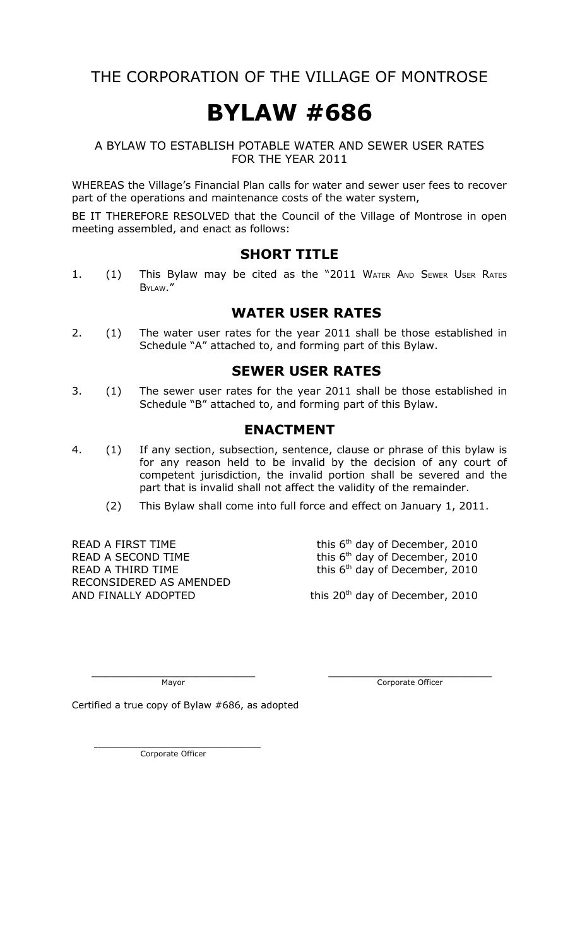### THE CORPORATION OF THE VILLAGE OF MONTROSE

# **BYLAW #686**

#### A BYLAW TO ESTABLISH POTABLE WATER AND SEWER USER RATES FOR THE YEAR 2011

WHEREAS the Village's Financial Plan calls for water and sewer user fees to recover part of the operations and maintenance costs of the water system,

BE IT THEREFORE RESOLVED that the Council of the Village of Montrose in open meeting assembled, and enact as follows:

#### **SHORT TITLE**

1. (1) This Bylaw may be cited as the "2011 WATER AND SEWER USER RATES BYLAW."

#### **WATER USER RATES**

2. (1) The water user rates for the year 2011 shall be those established in Schedule "A" attached to, and forming part of this Bylaw.

#### **SEWER USER RATES**

3. (1) The sewer user rates for the year 2011 shall be those established in Schedule "B" attached to, and forming part of this Bylaw.

#### **ENACTMENT**

- 4. (1) If any section, subsection, sentence, clause or phrase of this bylaw is for any reason held to be invalid by the decision of any court of competent jurisdiction, the invalid portion shall be severed and the part that is invalid shall not affect the validity of the remainder.
	- (2) This Bylaw shall come into full force and effect on January 1, 2011.

READ A SECOND TIME<br>READ A THIRD TIME<br>READ A THIRD TIME<br> $\frac{1}{2}$  this 6<sup>th</sup> day of December, 2010 RECONSIDERED AS AMENDED<br>AND FINALLY ADOPTED

READ A FIRST TIME this  $6<sup>th</sup>$  day of December, 2010<br>READ A SECOND TIME this  $6<sup>th</sup>$  day of December, 2010 this 6<sup>th</sup> day of December, 2010

this  $20<sup>th</sup>$  day of December, 2010

 $\overline{\phantom{a}}$  , and the contract of the contract of the contract of the contract of the contract of the contract of the contract of the contract of the contract of the contract of the contract of the contract of the contrac Mayor **Mayor** Corporate Officer

Certified a true copy of Bylaw #686, as adopted

 $\overline{\phantom{a}}$  , where  $\overline{\phantom{a}}$  , where  $\overline{\phantom{a}}$  , where  $\overline{\phantom{a}}$  , where  $\overline{\phantom{a}}$ Corporate Officer